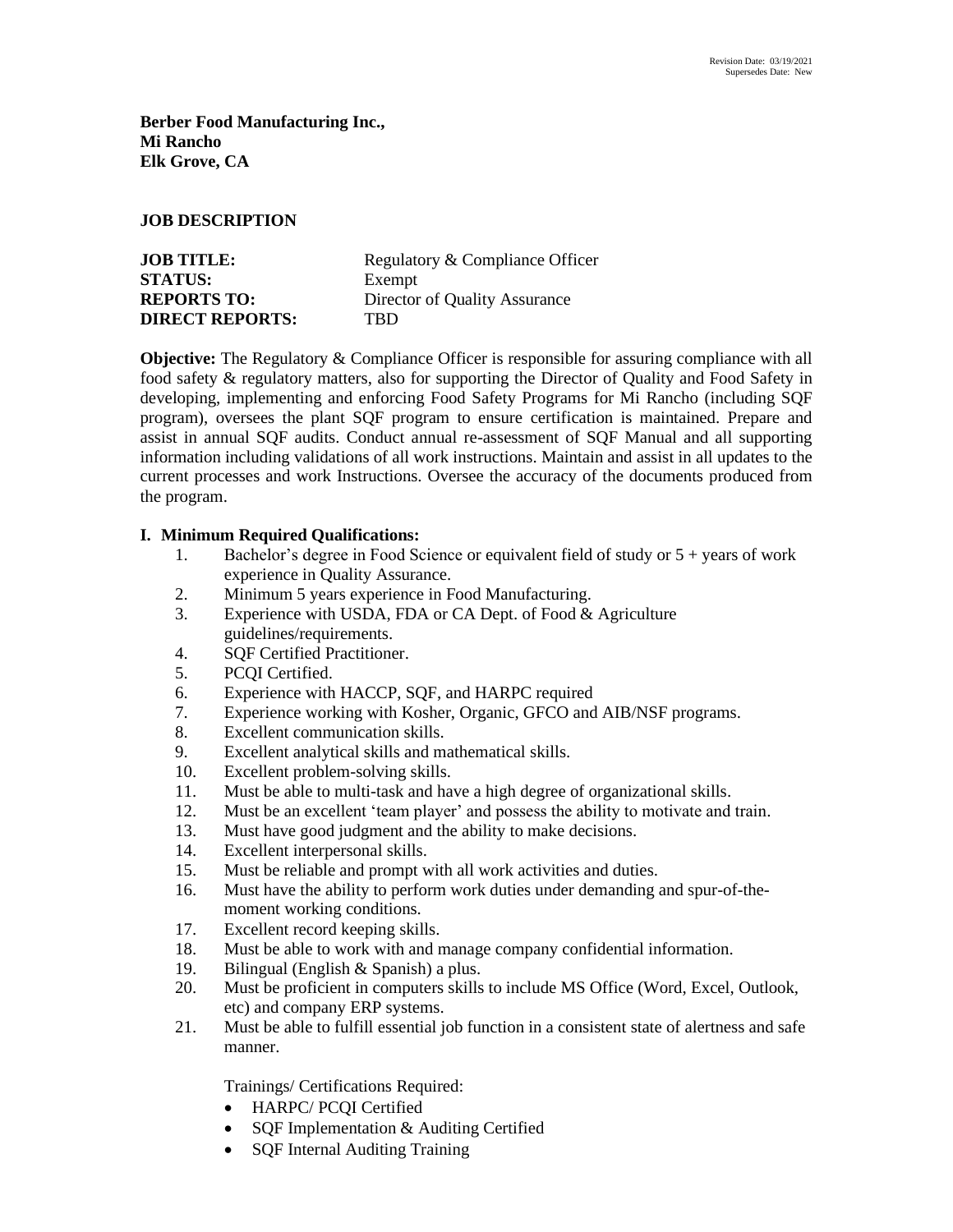**Berber Food Manufacturing Inc., Mi Rancho Elk Grove, CA**

#### **JOB DESCRIPTION**

| <b>JOB TITLE:</b>      | Regulatory & Compliance Officer |
|------------------------|---------------------------------|
| <b>STATUS:</b>         | Exempt                          |
| <b>REPORTS TO:</b>     | Director of Quality Assurance   |
| <b>DIRECT REPORTS:</b> | TRD                             |

**Objective:** The Regulatory & Compliance Officer is responsible for assuring compliance with all food safety & regulatory matters, also for supporting the Director of Quality and Food Safety in developing, implementing and enforcing Food Safety Programs for Mi Rancho (including SQF program), oversees the plant SQF program to ensure certification is maintained. Prepare and assist in annual SQF audits. Conduct annual re-assessment of SQF Manual and all supporting information including validations of all work instructions. Maintain and assist in all updates to the current processes and work Instructions. Oversee the accuracy of the documents produced from the program.

### **I. Minimum Required Qualifications:**

- 1. Bachelor's degree in Food Science or equivalent field of study or 5 + years of work experience in Quality Assurance.
- 2. Minimum 5 years experience in Food Manufacturing.
- 3. Experience with USDA, FDA or CA Dept. of Food & Agriculture guidelines/requirements.
- 4. SQF Certified Practitioner.
- 5. PCQI Certified.
- 6. Experience with HACCP, SQF, and HARPC required
- 7. Experience working with Kosher, Organic, GFCO and AIB/NSF programs.
- 8. Excellent communication skills.
- 9. Excellent analytical skills and mathematical skills.
- 10. Excellent problem-solving skills.
- 11. Must be able to multi-task and have a high degree of organizational skills.
- 12. Must be an excellent 'team player' and possess the ability to motivate and train.
- 13. Must have good judgment and the ability to make decisions.
- 14. Excellent interpersonal skills.
- 15. Must be reliable and prompt with all work activities and duties.
- 16. Must have the ability to perform work duties under demanding and spur-of-themoment working conditions.
- 17. Excellent record keeping skills.
- 18. Must be able to work with and manage company confidential information.
- 19. Bilingual (English & Spanish) a plus.
- 20. Must be proficient in computers skills to include MS Office (Word, Excel, Outlook, etc) and company ERP systems.
- 21. Must be able to fulfill essential job function in a consistent state of alertness and safe manner.

Trainings/ Certifications Required:

- HARPC/ PCQI Certified
- SQF Implementation & Auditing Certified
- SOF Internal Auditing Training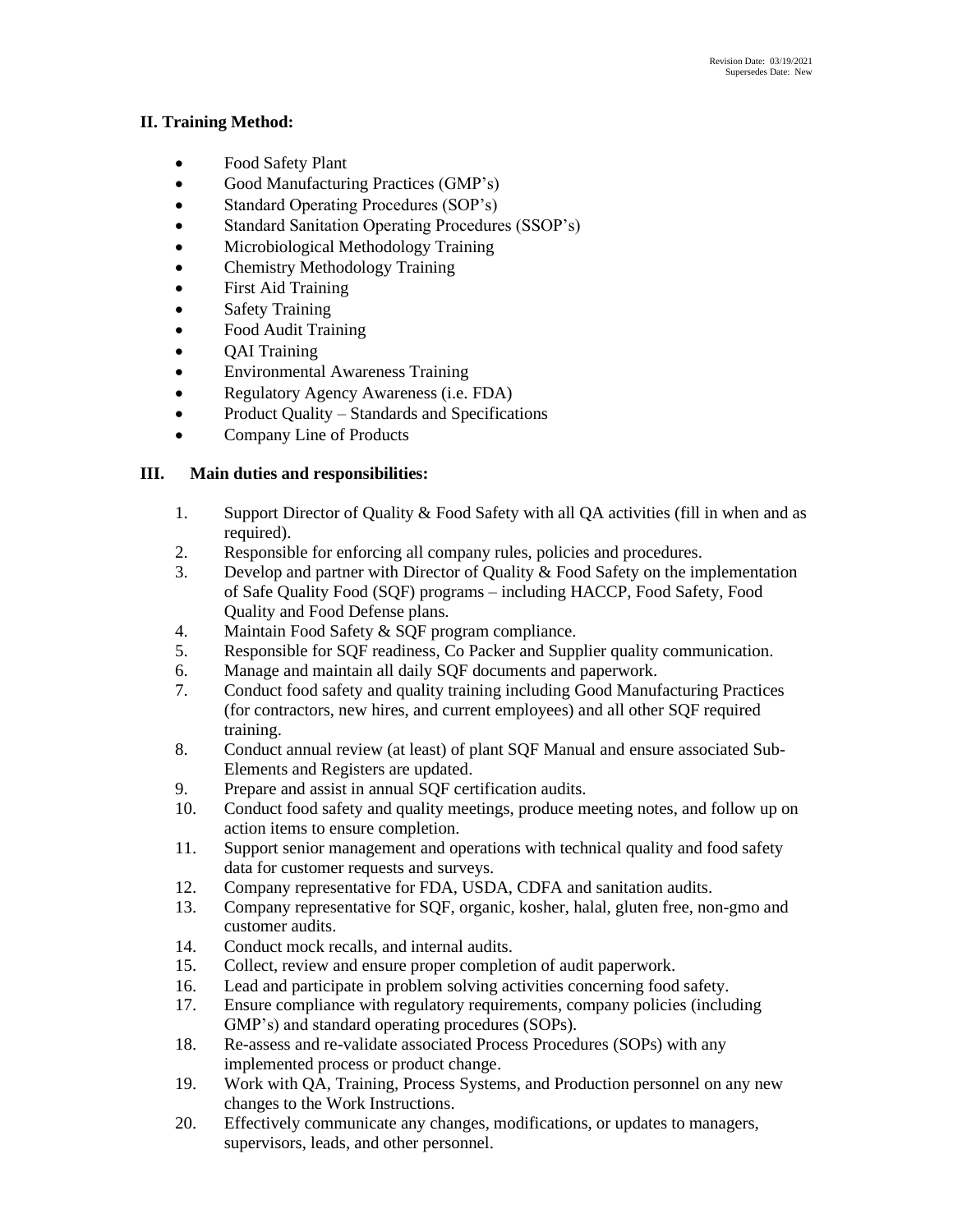## **II. Training Method:**

- Food Safety Plant
- Good Manufacturing Practices (GMP's)
- Standard Operating Procedures (SOP's)
- Standard Sanitation Operating Procedures (SSOP's)
- Microbiological Methodology Training
- Chemistry Methodology Training
- First Aid Training
- Safety Training
- Food Audit Training
- QAI Training
- Environmental Awareness Training
- Regulatory Agency Awareness (i.e. FDA)
- Product Quality Standards and Specifications
- Company Line of Products

# **III. Main duties and responsibilities:**

- 1. Support Director of Quality & Food Safety with all QA activities (fill in when and as required).
- 2. Responsible for enforcing all company rules, policies and procedures.
- 3. Develop and partner with Director of Quality & Food Safety on the implementation of Safe Quality Food (SQF) programs – including HACCP, Food Safety, Food Quality and Food Defense plans.
- 4. Maintain Food Safety & SQF program compliance.
- 5. Responsible for SQF readiness, Co Packer and Supplier quality communication.
- 6. Manage and maintain all daily SQF documents and paperwork.
- 7. Conduct food safety and quality training including Good Manufacturing Practices (for contractors, new hires, and current employees) and all other SQF required training.
- 8. Conduct annual review (at least) of plant SQF Manual and ensure associated Sub-Elements and Registers are updated.
- 9. Prepare and assist in annual SQF certification audits.
- 10. Conduct food safety and quality meetings, produce meeting notes, and follow up on action items to ensure completion.
- 11. Support senior management and operations with technical quality and food safety data for customer requests and surveys.
- 12. Company representative for FDA, USDA, CDFA and sanitation audits.
- 13. Company representative for SQF, organic, kosher, halal, gluten free, non-gmo and customer audits.
- 14. Conduct mock recalls, and internal audits.
- 15. Collect, review and ensure proper completion of audit paperwork.
- 16. Lead and participate in problem solving activities concerning food safety.
- 17. Ensure compliance with regulatory requirements, company policies (including GMP's) and standard operating procedures (SOPs).
- 18. Re-assess and re-validate associated Process Procedures (SOPs) with any implemented process or product change.
- 19. Work with QA, Training, Process Systems, and Production personnel on any new changes to the Work Instructions.
- 20. Effectively communicate any changes, modifications, or updates to managers, supervisors, leads, and other personnel.